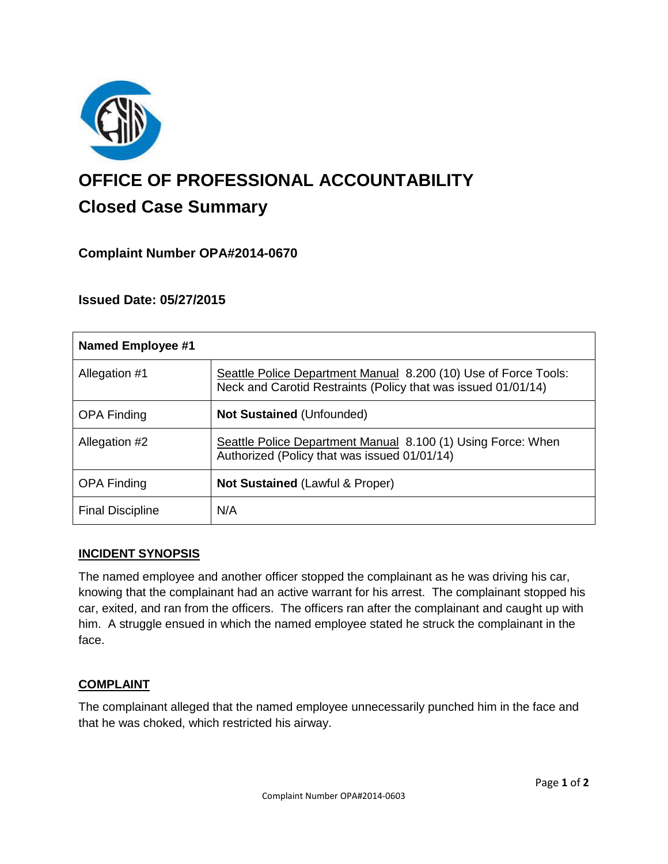

# **OFFICE OF PROFESSIONAL ACCOUNTABILITY Closed Case Summary**

## **Complaint Number OPA#2014-0670**

## **Issued Date: 05/27/2015**

| <b>Named Employee #1</b> |                                                                                                                                  |
|--------------------------|----------------------------------------------------------------------------------------------------------------------------------|
| Allegation #1            | Seattle Police Department Manual 8.200 (10) Use of Force Tools:<br>Neck and Carotid Restraints (Policy that was issued 01/01/14) |
| <b>OPA Finding</b>       | <b>Not Sustained (Unfounded)</b>                                                                                                 |
| Allegation #2            | Seattle Police Department Manual 8.100 (1) Using Force: When<br>Authorized (Policy that was issued 01/01/14)                     |
| <b>OPA Finding</b>       | <b>Not Sustained (Lawful &amp; Proper)</b>                                                                                       |
| <b>Final Discipline</b>  | N/A                                                                                                                              |

#### **INCIDENT SYNOPSIS**

The named employee and another officer stopped the complainant as he was driving his car, knowing that the complainant had an active warrant for his arrest. The complainant stopped his car, exited, and ran from the officers. The officers ran after the complainant and caught up with him. A struggle ensued in which the named employee stated he struck the complainant in the face.

#### **COMPLAINT**

The complainant alleged that the named employee unnecessarily punched him in the face and that he was choked, which restricted his airway.